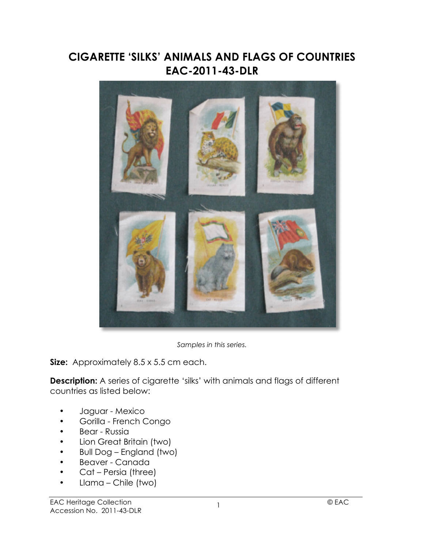## **CIGARETTE 'SILKS' ANIMALS AND FLAGS OF COUNTRIES EAC-2011-43-DLR**



*Samples in this series.*

**Size:** Approximately 8.5 x 5.5 cm each.

**Description:** A series of cigarette 'silks' with animals and flags of different countries as listed below:

- Jaguar Mexico
- Gorilla French Congo
- Bear Russia
- Lion Great Britain (two)
- Bull Dog England (two)
- Beaver Canada
- Cat Persia (three)
- Llama Chile (two)